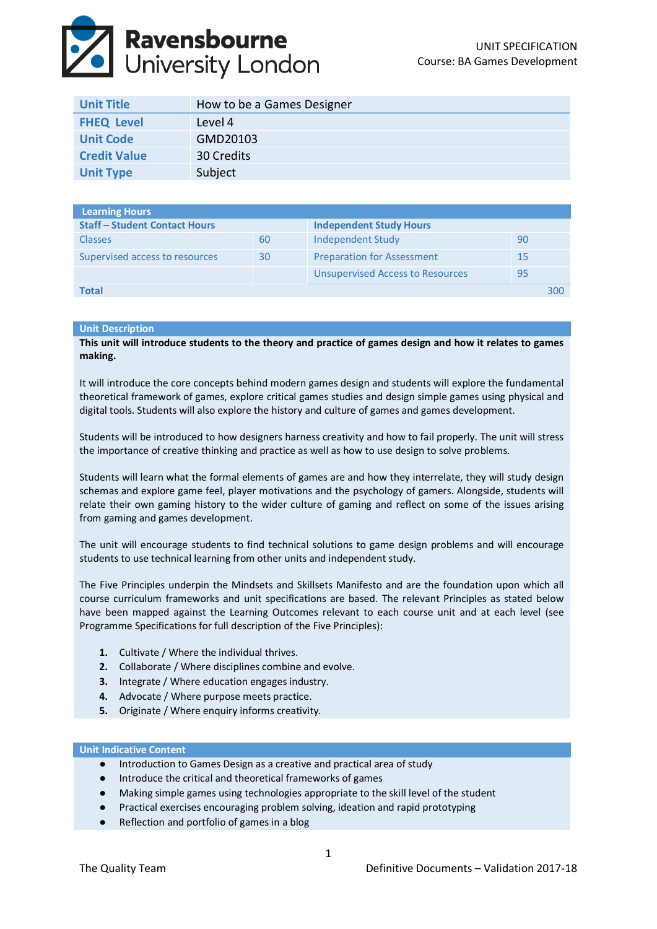# **Ravensbourne**<br>Duniversity London

| <b>Unit Title</b>   | How to be a Games Designer |
|---------------------|----------------------------|
| <b>FHEQ Level</b>   | Level 4                    |
| <b>Unit Code</b>    | GMD20103                   |
| <b>Credit Value</b> | 30 Credits                 |
| <b>Unit Type</b>    | Subject                    |

| <b>Learning Hours</b>                |    |                                         |    |     |
|--------------------------------------|----|-----------------------------------------|----|-----|
| <b>Staff - Student Contact Hours</b> |    | <b>Independent Study Hours</b>          |    |     |
| <b>Classes</b>                       | 60 | Independent Study                       | 90 |     |
| Supervised access to resources       | 30 | <b>Preparation for Assessment</b>       | 15 |     |
|                                      |    | <b>Unsupervised Access to Resources</b> | 95 |     |
| Total                                |    |                                         |    | 300 |

## **Unit Description**

**This unit will introduce students to the theory and practice of games design and how it relates to games making.**

It will introduce the core concepts behind modern games design and students will explore the fundamental theoretical framework of games, explore critical games studies and design simple games using physical and digital tools. Students will also explore the history and culture of games and games development.

Students will be introduced to how designers harness creativity and how to fail properly. The unit will stress the importance of creative thinking and practice as well as how to use design to solve problems.

Students will learn what the formal elements of games are and how they interrelate, they will study design schemas and explore game feel, player motivations and the psychology of gamers. Alongside, students will relate their own gaming history to the wider culture of gaming and reflect on some of the issues arising from gaming and games development.

The unit will encourage students to find technical solutions to game design problems and will encourage students to use technical learning from other units and independent study.

The Five Principles underpin the Mindsets and Skillsets Manifesto and are the foundation upon which all course curriculum frameworks and unit specifications are based. The relevant Principles as stated below have been mapped against the Learning Outcomes relevant to each course unit and at each level (see Programme Specifications for full description of the Five Principles):

- **1.** Cultivate / Where the individual thrives.
- **2.** Collaborate / Where disciplines combine and evolve.
- **3.** Integrate / Where education engages industry.
- **4.** Advocate / Where purpose meets practice.
- **5.** Originate / Where enquiry informs creativity.

## **Unit Indicative Content**

- Introduction to Games Design as a creative and practical area of study
- Introduce the critical and theoretical frameworks of games
- Making simple games using technologies appropriate to the skill level of the student
- Practical exercises encouraging problem solving, ideation and rapid prototyping
- Reflection and portfolio of games in a blog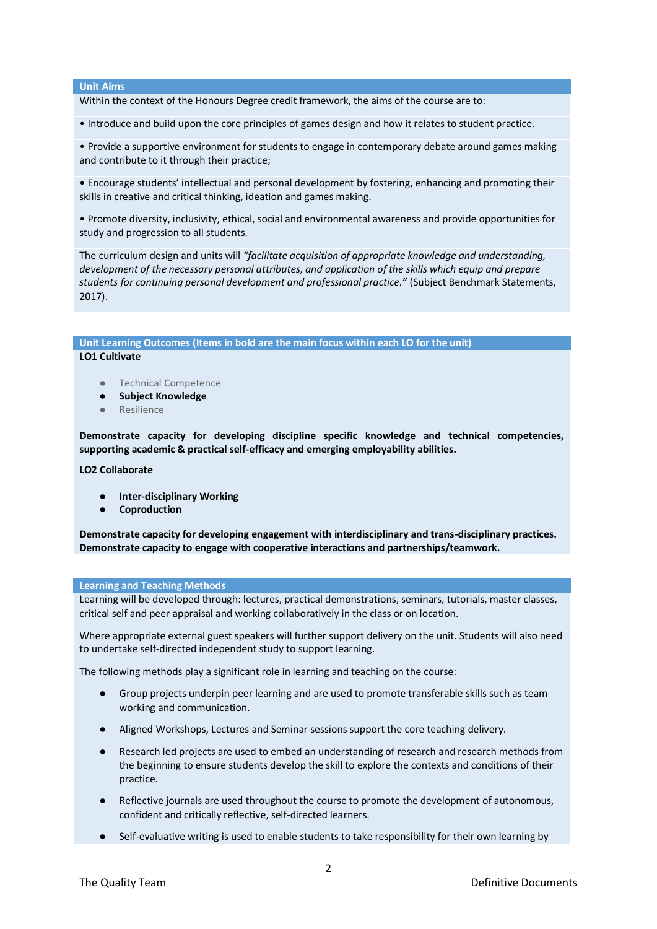## **Unit Aims**

Within the context of the Honours Degree credit framework, the aims of the course are to:

• Introduce and build upon the core principles of games design and how it relates to student practice.

• Provide a supportive environment for students to engage in contemporary debate around games making and contribute to it through their practice;

• Encourage students' intellectual and personal development by fostering, enhancing and promoting their skills in creative and critical thinking, ideation and games making.

• Promote diversity, inclusivity, ethical, social and environmental awareness and provide opportunities for study and progression to all students.

The curriculum design and units will *"facilitate acquisition of appropriate knowledge and understanding, development of the necessary personal attributes, and application of the skills which equip and prepare students for continuing personal development and professional practice."* (Subject Benchmark Statements, 2017).

# **Unit Learning Outcomes (Items in bold are the main focus within each LO for the unit)**

## **LO1 Cultivate**

- Technical Competence
- **Subject Knowledge**
- Resilience

**Demonstrate capacity for developing discipline specific knowledge and technical competencies, supporting academic & practical self-efficacy and emerging employability abilities.**

**LO2 Collaborate**

- **Inter-disciplinary Working**
- **Coproduction**

**Demonstrate capacity for developing engagement with interdisciplinary and trans-disciplinary practices. Demonstrate capacity to engage with cooperative interactions and partnerships/teamwork.**

## **Learning and Teaching Methods**

Learning will be developed through: lectures, practical demonstrations, seminars, tutorials, master classes, critical self and peer appraisal and working collaboratively in the class or on location.

Where appropriate external guest speakers will further support delivery on the unit. Students will also need to undertake self‐directed independent study to support learning.

The following methods play a significant role in learning and teaching on the course:

- Group projects underpin peer learning and are used to promote transferable skills such as team working and communication.
- Aligned Workshops, Lectures and Seminar sessions support the core teaching delivery.
- Research led projects are used to embed an understanding of research and research methods from the beginning to ensure students develop the skill to explore the contexts and conditions of their practice.
- Reflective journals are used throughout the course to promote the development of autonomous, confident and critically reflective, self‐directed learners.
- Self-evaluative writing is used to enable students to take responsibility for their own learning by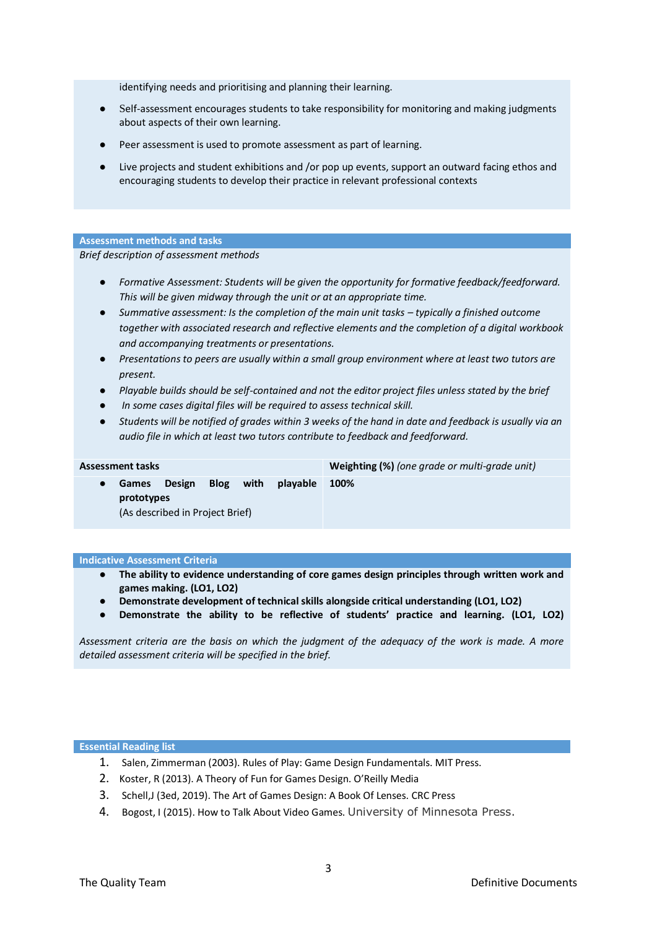identifying needs and prioritising and planning their learning.

- Self-assessment encourages students to take responsibility for monitoring and making judgments about aspects of their own learning.
- Peer assessment is used to promote assessment as part of learning.
- Live projects and student exhibitions and /or pop up events, support an outward facing ethos and encouraging students to develop their practice in relevant professional contexts

## **Assessment methods and tasks**

*Brief description of assessment methods*

- *Formative Assessment: Students will be given the opportunity for formative feedback/feedforward. This will be given midway through the unit or at an appropriate time.*
- Summative assessment: Is the completion of the main unit tasks *typically a finished outcome together with associated research and reflective elements and the completion of a digital workbook and accompanying treatments or presentations.*
- *Presentations to peers are usually within a small group environment where at least two tutors are present.*
- *Playable builds should be self-contained and not the editor project files unless stated by the brief*
- *In some cases digital files will be required to assess technical skill.*
- *Students will be notified of grades within 3 weeks of the hand in date and feedback is usually via an audio file in which at least two tutors contribute to feedback and feedforward.*

| <b>Assessment tasks</b> |                            |                                           |             |      |          | Weighting (%) (one grade or multi-grade unit) |
|-------------------------|----------------------------|-------------------------------------------|-------------|------|----------|-----------------------------------------------|
|                         | <b>Games</b><br>prototypes | Design<br>(As described in Project Brief) | <b>Blog</b> | with | playable | 100%                                          |

## **Indicative Assessment Criteria**

- **The ability to evidence understanding of core games design principles through written work and games making. (LO1, LO2)**
- **Demonstrate development of technical skills alongside critical understanding (LO1, LO2)**
- **Demonstrate the ability to be reflective of students' practice and learning. (LO1, LO2)**

*Assessment criteria are the basis on which the judgment of the adequacy of the work is made. A more detailed assessment criteria will be specified in the brief.* 

## **Essential Reading list**

- 1. Salen, Zimmerman (2003). Rules of Play: Game Design Fundamentals. MIT Press.
- 2. Koster, R (2013). A Theory of Fun for Games Design. O'Reilly Media
- 3. Schell,J (3ed, 2019). The Art of Games Design: A Book Of Lenses. CRC Press
- 4. Bogost, I (2015). How to Talk About Video Games. University of Minnesota Press.